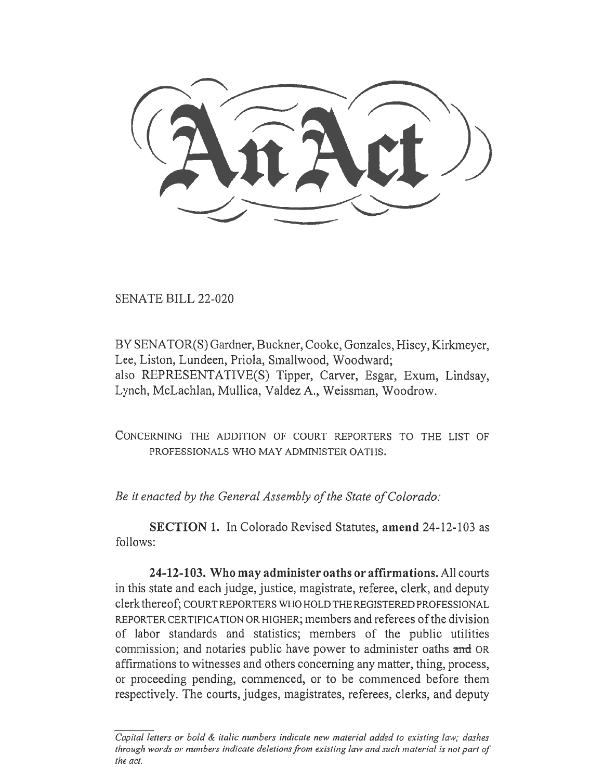SENATE BILL 22-020

BY SENATOR(S) Gardner, Buckner, Cooke, Gonzales, Hisey, Kirkmeyer, Lee, Liston, Lundeen, Priola, Smallwood, Woodward; also REPRESENTATIVE(S) Tipper, Carver, Esgar, Exum, Lindsay, Lynch, McLachlan, Mullica, Valdez A., Weissman, Woodrow.

CONCERNING THE ADDITION OF COURT REPORTERS TO THE LIST OF PROFESSIONALS WHO MAY ADMINISTER OATHS.

Be it enacted by the General Assembly of the State of Colorado:

SECTION 1. In Colorado Revised Statutes, amend 24-12-103 as follows:

24-12-103. Who may administer oaths or affirmations. All courts in this state and each judge, justice, magistrate, referee, clerk, and deputy clerk thereof; COURT REPORTERS WHO HOLD THE REGISTERED PROFESSIONAL REPORTER CERTIFICATION OR HIGHER; members and referees of the division of labor standards and statistics; members of the public utilities commission; and notaries public have power to administer oaths and OR affirmations to witnesses and others concerning any matter, thing, process, or proceeding pending, commenced, or to be commenced before them respectively. The courts, judges, magistrates, referees, clerks, and deputy

 $\overline{Capital}$  letters or bold  $\&$  italic numbers indicate new material added to existing law; dashes through words or numbers indicate deletions from existing law and such material is not part of the act.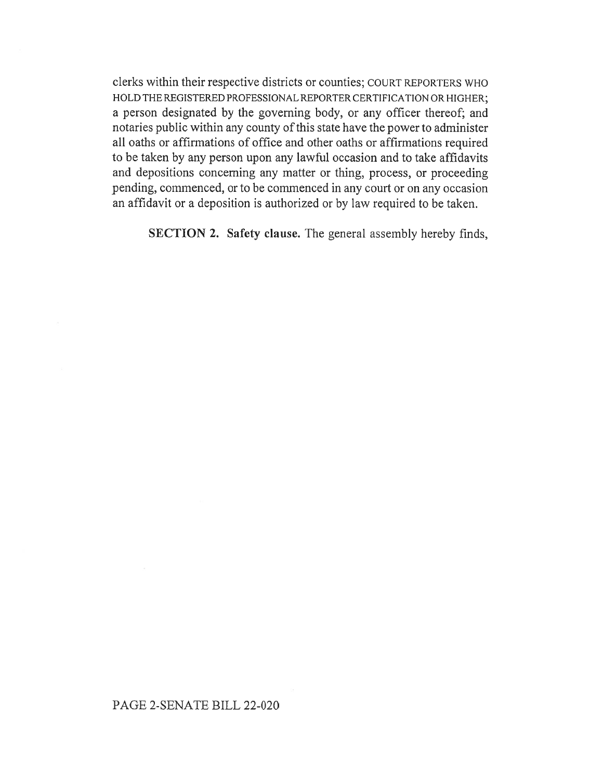clerks within their respective districts or counties; COURT REPORTERS WHO HOLD THE REGISTERED PROFESSIONAL REPORTER CERTIFICATION OR HIGHER; a person designated by the governing body, or any officer thereof; and notaries public within any county of this state have the power to administer all oaths or affirmations of office and other oaths or affirmations required to be taken by any person upon any lawful occasion and to take affidavits and depositions concerning any matter or thing, process, or proceeding pending, commenced, or to be commenced in any court or on any occasion an affidavit or a deposition is authorized or by law required to be taken.

SECTION 2. Safety clause. The general assembly hereby finds,